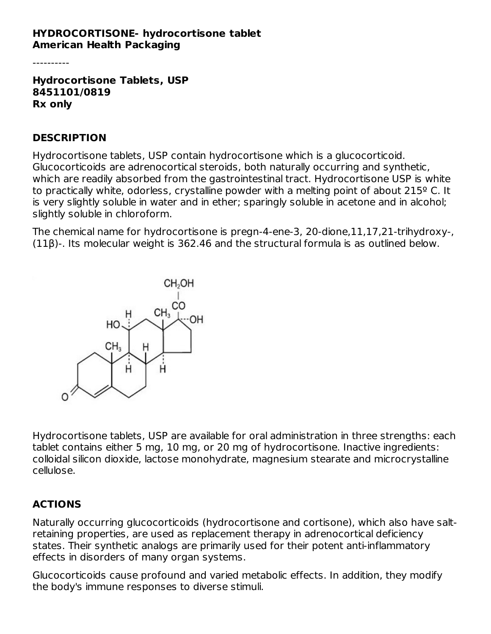#### **HYDROCORTISONE- hydrocortisone tablet American Health Packaging**

----------

**Hydrocortisone Tablets, USP 8451101/0819 Rx only**

#### **DESCRIPTION**

Hydrocortisone tablets, USP contain hydrocortisone which is a glucocorticoid. Glucocorticoids are adrenocortical steroids, both naturally occurring and synthetic, which are readily absorbed from the gastrointestinal tract. Hydrocortisone USP is white to practically white, odorless, crystalline powder with a melting point of about 215<sup>o</sup> C. It is very slightly soluble in water and in ether; sparingly soluble in acetone and in alcohol; slightly soluble in chloroform.

The chemical name for hydrocortisone is pregn-4-ene-3, 20-dione,11,17,21-trihydroxy-, (11β)-. Its molecular weight is 362.46 and the structural formula is as outlined below.



Hydrocortisone tablets, USP are available for oral administration in three strengths: each tablet contains either 5 mg, 10 mg, or 20 mg of hydrocortisone. Inactive ingredients: colloidal silicon dioxide, lactose monohydrate, magnesium stearate and microcrystalline cellulose.

#### **ACTIONS**

Naturally occurring glucocorticoids (hydrocortisone and cortisone), which also have saltretaining properties, are used as replacement therapy in adrenocortical deficiency states. Their synthetic analogs are primarily used for their potent anti-inflammatory effects in disorders of many organ systems.

Glucocorticoids cause profound and varied metabolic effects. In addition, they modify the body's immune responses to diverse stimuli.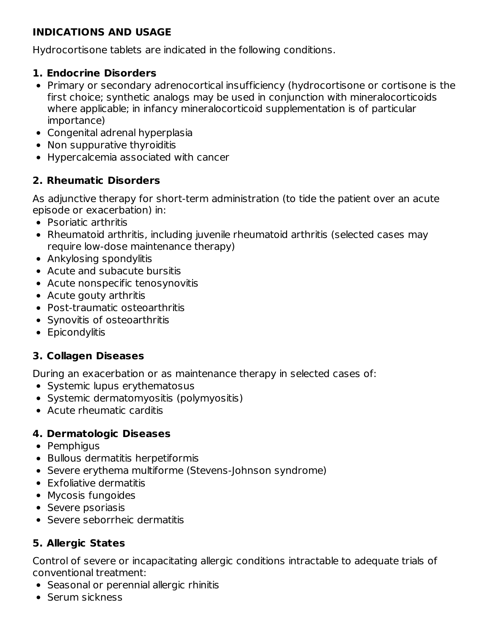## **INDICATIONS AND USAGE**

Hydrocortisone tablets are indicated in the following conditions.

## **1. Endocrine Disorders**

- Primary or secondary adrenocortical insufficiency (hydrocortisone or cortisone is the first choice; synthetic analogs may be used in conjunction with mineralocorticoids where applicable; in infancy mineralocorticoid supplementation is of particular importance)
- Congenital adrenal hyperplasia
- Non suppurative thyroiditis
- Hypercalcemia associated with cancer

# **2. Rheumatic Disorders**

As adjunctive therapy for short-term administration (to tide the patient over an acute episode or exacerbation) in:

- Psoriatic arthritis
- Rheumatoid arthritis, including juvenile rheumatoid arthritis (selected cases may require low-dose maintenance therapy)
- Ankylosing spondylitis
- Acute and subacute bursitis
- Acute nonspecific tenosynovitis
- Acute gouty arthritis
- Post-traumatic osteoarthritis
- Synovitis of osteoarthritis
- Epicondylitis

# **3. Collagen Diseases**

During an exacerbation or as maintenance therapy in selected cases of:

- Systemic lupus erythematosus
- Systemic dermatomyositis (polymyositis)
- Acute rheumatic carditis

# **4. Dermatologic Diseases**

- Pemphigus
- Bullous dermatitis herpetiformis
- Severe erythema multiforme (Stevens-Johnson syndrome)
- Exfoliative dermatitis
- Mycosis fungoides
- Severe psoriasis
- Severe seborrheic dermatitis

# **5. Allergic States**

Control of severe or incapacitating allergic conditions intractable to adequate trials of conventional treatment:

- Seasonal or perennial allergic rhinitis
- Serum sickness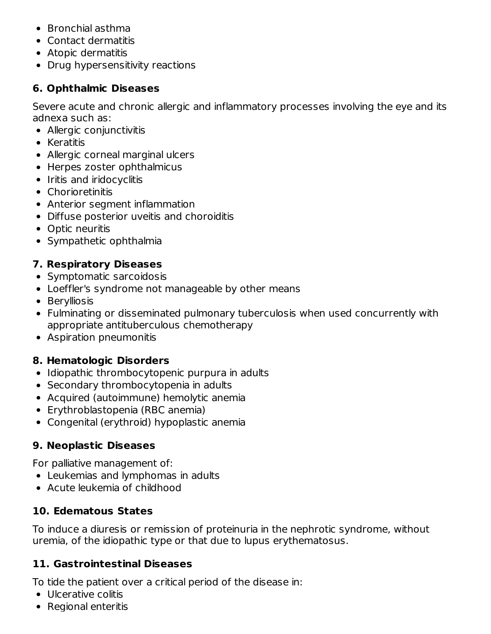- Bronchial asthma
- Contact dermatitis
- Atopic dermatitis
- Drug hypersensitivity reactions

## **6. Ophthalmic Diseases**

Severe acute and chronic allergic and inflammatory processes involving the eye and its adnexa such as:

- Allergic conjunctivitis
- Keratitis
- Allergic corneal marginal ulcers
- Herpes zoster ophthalmicus
- Iritis and iridocyclitis
- Chorioretinitis
- Anterior seament inflammation
- Diffuse posterior uveitis and choroiditis
- Optic neuritis
- Sympathetic ophthalmia

# **7. Respiratory Diseases**

- Symptomatic sarcoidosis
- Loeffler's syndrome not manageable by other means
- Berylliosis
- Fulminating or disseminated pulmonary tuberculosis when used concurrently with appropriate antituberculous chemotherapy
- Aspiration pneumonitis

## **8. Hematologic Disorders**

- Idiopathic thrombocytopenic purpura in adults
- Secondary thrombocytopenia in adults
- Acquired (autoimmune) hemolytic anemia
- Erythroblastopenia (RBC anemia)
- Congenital (erythroid) hypoplastic anemia

# **9. Neoplastic Diseases**

For palliative management of:

- Leukemias and lymphomas in adults
- Acute leukemia of childhood

## **10. Edematous States**

To induce a diuresis or remission of proteinuria in the nephrotic syndrome, without uremia, of the idiopathic type or that due to lupus erythematosus.

## **11. Gastrointestinal Diseases**

To tide the patient over a critical period of the disease in:

- Ulcerative colitis
- Regional enteritis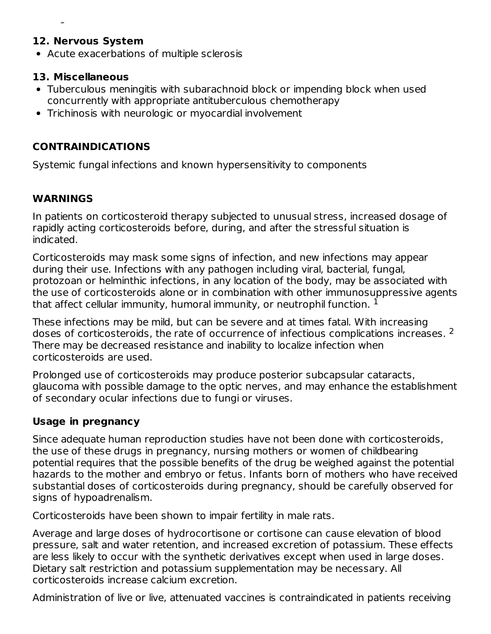#### **12. Nervous System**

Regional enteritis

Acute exacerbations of multiple sclerosis

#### **13. Miscellaneous**

- Tuberculous meningitis with subarachnoid block or impending block when used concurrently with appropriate antituberculous chemotherapy
- Trichinosis with neurologic or myocardial involvement

#### **CONTRAINDICATIONS**

Systemic fungal infections and known hypersensitivity to components

#### **WARNINGS**

In patients on corticosteroid therapy subjected to unusual stress, increased dosage of rapidly acting corticosteroids before, during, and after the stressful situation is indicated.

Corticosteroids may mask some signs of infection, and new infections may appear during their use. Infections with any pathogen including viral, bacterial, fungal, protozoan or helminthic infections, in any location of the body, may be associated with the use of corticosteroids alone or in combination with other immunosuppressive agents that affect cellular immunity, humoral immunity, or neutrophil function.  $^{\rm 1}$ 

These infections may be mild, but can be severe and at times fatal. With increasing doses of corticosteroids, the rate of occurrence of infectious complications increases. <sup>2</sup> There may be decreased resistance and inability to localize infection when corticosteroids are used.

Prolonged use of corticosteroids may produce posterior subcapsular cataracts, glaucoma with possible damage to the optic nerves, and may enhance the establishment of secondary ocular infections due to fungi or viruses.

## **Usage in pregnancy**

Since adequate human reproduction studies have not been done with corticosteroids, the use of these drugs in pregnancy, nursing mothers or women of childbearing potential requires that the possible benefits of the drug be weighed against the potential hazards to the mother and embryo or fetus. Infants born of mothers who have received substantial doses of corticosteroids during pregnancy, should be carefully observed for signs of hypoadrenalism.

Corticosteroids have been shown to impair fertility in male rats.

Average and large doses of hydrocortisone or cortisone can cause elevation of blood pressure, salt and water retention, and increased excretion of potassium. These effects are less likely to occur with the synthetic derivatives except when used in large doses. Dietary salt restriction and potassium supplementation may be necessary. All corticosteroids increase calcium excretion.

Administration of live or live, attenuated vaccines is contraindicated in patients receiving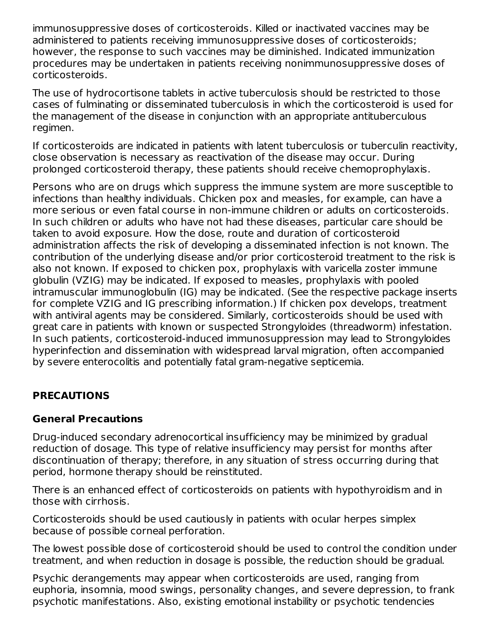immunosuppressive doses of corticosteroids. Killed or inactivated vaccines may be administered to patients receiving immunosuppressive doses of corticosteroids; however, the response to such vaccines may be diminished. Indicated immunization procedures may be undertaken in patients receiving nonimmunosuppressive doses of corticosteroids.

The use of hydrocortisone tablets in active tuberculosis should be restricted to those cases of fulminating or disseminated tuberculosis in which the corticosteroid is used for the management of the disease in conjunction with an appropriate antituberculous regimen.

If corticosteroids are indicated in patients with latent tuberculosis or tuberculin reactivity, close observation is necessary as reactivation of the disease may occur. During prolonged corticosteroid therapy, these patients should receive chemoprophylaxis.

Persons who are on drugs which suppress the immune system are more susceptible to infections than healthy individuals. Chicken pox and measles, for example, can have a more serious or even fatal course in non-immune children or adults on corticosteroids. In such children or adults who have not had these diseases, particular care should be taken to avoid exposure. How the dose, route and duration of corticosteroid administration affects the risk of developing a disseminated infection is not known. The contribution of the underlying disease and/or prior corticosteroid treatment to the risk is also not known. If exposed to chicken pox, prophylaxis with varicella zoster immune globulin (VZIG) may be indicated. If exposed to measles, prophylaxis with pooled intramuscular immunoglobulin (IG) may be indicated. (See the respective package inserts for complete VZIG and IG prescribing information.) If chicken pox develops, treatment with antiviral agents may be considered. Similarly, corticosteroids should be used with great care in patients with known or suspected Strongyloides (threadworm) infestation. In such patients, corticosteroid-induced immunosuppression may lead to Strongyloides hyperinfection and dissemination with widespread larval migration, often accompanied by severe enterocolitis and potentially fatal gram-negative septicemia.

## **PRECAUTIONS**

## **General Precautions**

Drug-induced secondary adrenocortical insufficiency may be minimized by gradual reduction of dosage. This type of relative insufficiency may persist for months after discontinuation of therapy; therefore, in any situation of stress occurring during that period, hormone therapy should be reinstituted.

There is an enhanced effect of corticosteroids on patients with hypothyroidism and in those with cirrhosis.

Corticosteroids should be used cautiously in patients with ocular herpes simplex because of possible corneal perforation.

The lowest possible dose of corticosteroid should be used to control the condition under treatment, and when reduction in dosage is possible, the reduction should be gradual.

Psychic derangements may appear when corticosteroids are used, ranging from euphoria, insomnia, mood swings, personality changes, and severe depression, to frank psychotic manifestations. Also, existing emotional instability or psychotic tendencies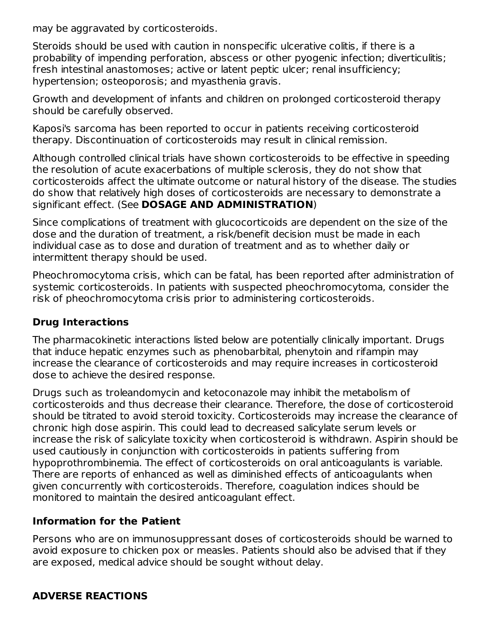may be aggravated by corticosteroids.

Steroids should be used with caution in nonspecific ulcerative colitis, if there is a probability of impending perforation, abscess or other pyogenic infection; diverticulitis; fresh intestinal anastomoses; active or latent peptic ulcer; renal insufficiency; hypertension; osteoporosis; and myasthenia gravis.

Growth and development of infants and children on prolonged corticosteroid therapy should be carefully observed.

Kaposi's sarcoma has been reported to occur in patients receiving corticosteroid therapy. Discontinuation of corticosteroids may result in clinical remission.

Although controlled clinical trials have shown corticosteroids to be effective in speeding the resolution of acute exacerbations of multiple sclerosis, they do not show that corticosteroids affect the ultimate outcome or natural history of the disease. The studies do show that relatively high doses of corticosteroids are necessary to demonstrate a significant effect. (See **DOSAGE AND ADMINISTRATION**)

Since complications of treatment with glucocorticoids are dependent on the size of the dose and the duration of treatment, a risk/benefit decision must be made in each individual case as to dose and duration of treatment and as to whether daily or intermittent therapy should be used.

Pheochromocytoma crisis, which can be fatal, has been reported after administration of systemic corticosteroids. In patients with suspected pheochromocytoma, consider the risk of pheochromocytoma crisis prior to administering corticosteroids.

#### **Drug Interactions**

The pharmacokinetic interactions listed below are potentially clinically important. Drugs that induce hepatic enzymes such as phenobarbital, phenytoin and rifampin may increase the clearance of corticosteroids and may require increases in corticosteroid dose to achieve the desired response.

Drugs such as troleandomycin and ketoconazole may inhibit the metabolism of corticosteroids and thus decrease their clearance. Therefore, the dose of corticosteroid should be titrated to avoid steroid toxicity. Corticosteroids may increase the clearance of chronic high dose aspirin. This could lead to decreased salicylate serum levels or increase the risk of salicylate toxicity when corticosteroid is withdrawn. Aspirin should be used cautiously in conjunction with corticosteroids in patients suffering from hypoprothrombinemia. The effect of corticosteroids on oral anticoagulants is variable. There are reports of enhanced as well as diminished effects of anticoagulants when given concurrently with corticosteroids. Therefore, coagulation indices should be monitored to maintain the desired anticoagulant effect.

#### **Information for the Patient**

Persons who are on immunosuppressant doses of corticosteroids should be warned to avoid exposure to chicken pox or measles. Patients should also be advised that if they are exposed, medical advice should be sought without delay.

## **ADVERSE REACTIONS**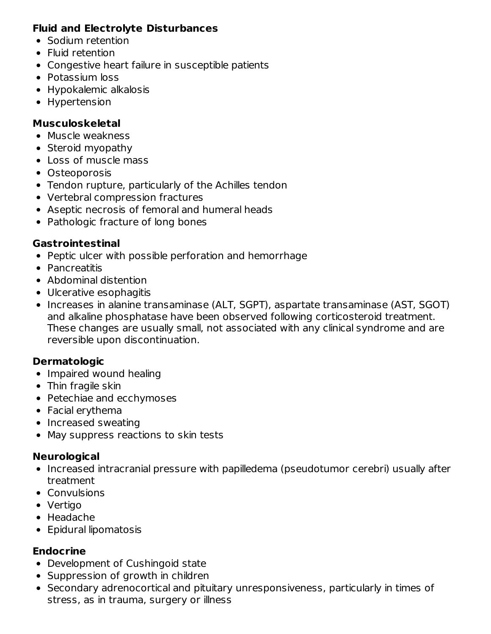## **Fluid and Electrolyte Disturbances**

- Sodium retention
- Fluid retention
- Congestive heart failure in susceptible patients
- Potassium loss
- Hypokalemic alkalosis
- Hypertension

#### **Musculoskeletal**

- Muscle weakness
- Steroid myopathy
- Loss of muscle mass
- Osteoporosis
- Tendon rupture, particularly of the Achilles tendon
- Vertebral compression fractures
- Aseptic necrosis of femoral and humeral heads
- Pathologic fracture of long bones

## **Gastrointestinal**

- Peptic ulcer with possible perforation and hemorrhage
- Pancreatitis
- Abdominal distention
- Ulcerative esophagitis
- Increases in alanine transaminase (ALT, SGPT), aspartate transaminase (AST, SGOT) and alkaline phosphatase have been observed following corticosteroid treatment. These changes are usually small, not associated with any clinical syndrome and are reversible upon discontinuation.

## **Dermatologic**

- Impaired wound healing
- Thin fragile skin
- Petechiae and ecchymoses
- Facial erythema
- Increased sweating
- May suppress reactions to skin tests

## **Neurological**

- Increased intracranial pressure with papilledema (pseudotumor cerebri) usually after treatment
- Convulsions
- Vertigo
- Headache
- Epidural lipomatosis

# **Endocrine**

- Development of Cushingoid state
- Suppression of growth in children
- Secondary adrenocortical and pituitary unresponsiveness, particularly in times of stress, as in trauma, surgery or illness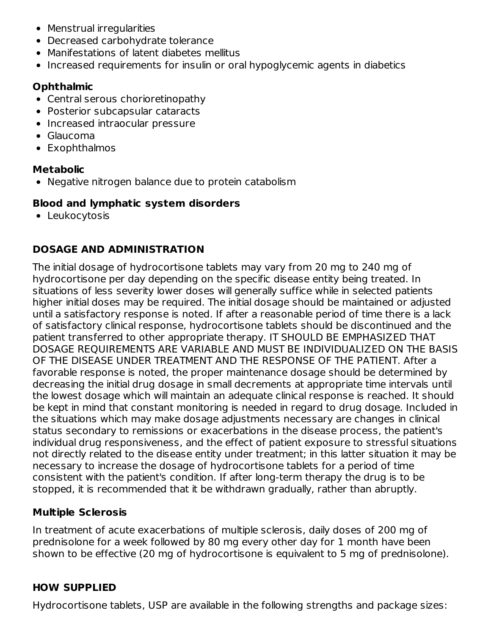- Menstrual irregularities
- Decreased carbohydrate tolerance
- Manifestations of latent diabetes mellitus
- Increased requirements for insulin or oral hypoglycemic agents in diabetics

## **Ophthalmic**

- Central serous chorioretinopathy
- Posterior subcapsular cataracts
- Increased intraocular pressure
- Glaucoma
- Exophthalmos

## **Metabolic**

Negative nitrogen balance due to protein catabolism

## **Blood and lymphatic system disorders**

• Leukocytosis

# **DOSAGE AND ADMINISTRATION**

The initial dosage of hydrocortisone tablets may vary from 20 mg to 240 mg of hydrocortisone per day depending on the specific disease entity being treated. In situations of less severity lower doses will generally suffice while in selected patients higher initial doses may be required. The initial dosage should be maintained or adjusted until a satisfactory response is noted. If after a reasonable period of time there is a lack of satisfactory clinical response, hydrocortisone tablets should be discontinued and the patient transferred to other appropriate therapy. IT SHOULD BE EMPHASIZED THAT DOSAGE REQUIREMENTS ARE VARIABLE AND MUST BE INDIVIDUALIZED ON THE BASIS OF THE DISEASE UNDER TREATMENT AND THE RESPONSE OF THE PATIENT. After a favorable response is noted, the proper maintenance dosage should be determined by decreasing the initial drug dosage in small decrements at appropriate time intervals until the lowest dosage which will maintain an adequate clinical response is reached. It should be kept in mind that constant monitoring is needed in regard to drug dosage. Included in the situations which may make dosage adjustments necessary are changes in clinical status secondary to remissions or exacerbations in the disease process, the patient's individual drug responsiveness, and the effect of patient exposure to stressful situations not directly related to the disease entity under treatment; in this latter situation it may be necessary to increase the dosage of hydrocortisone tablets for a period of time consistent with the patient's condition. If after long-term therapy the drug is to be stopped, it is recommended that it be withdrawn gradually, rather than abruptly.

# **Multiple Sclerosis**

In treatment of acute exacerbations of multiple sclerosis, daily doses of 200 mg of prednisolone for a week followed by 80 mg every other day for 1 month have been shown to be effective (20 mg of hydrocortisone is equivalent to 5 mg of prednisolone).

# **HOW SUPPLIED**

Hydrocortisone tablets, USP are available in the following strengths and package sizes: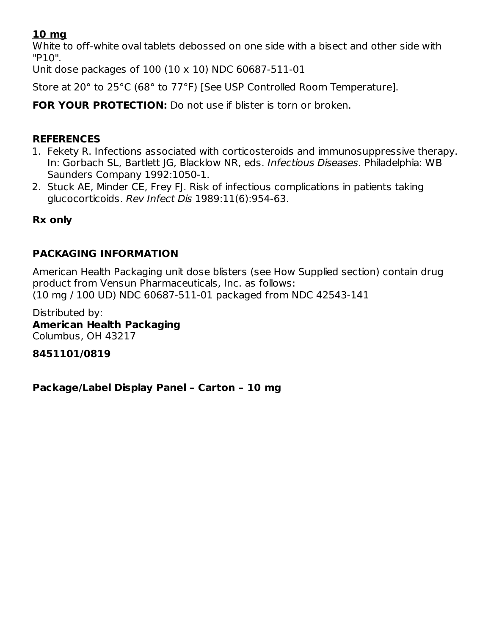## **10 mg**

White to off-white oval tablets debossed on one side with a bisect and other side with "P10".

Unit dose packages of 100 (10 x 10) NDC 60687-511-01

Store at 20° to 25°C (68° to 77°F) [See USP Controlled Room Temperature].

**FOR YOUR PROTECTION:** Do not use if blister is torn or broken.

## **REFERENCES**

- 1. Fekety R. Infections associated with corticosteroids and immunosuppressive therapy. In: Gorbach SL, Bartlett JG, Blacklow NR, eds. Infectious Diseases. Philadelphia: WB Saunders Company 1992:1050-1.
- 2. Stuck AE, Minder CE, Frey FJ. Risk of infectious complications in patients taking glucocorticoids. Rev Infect Dis 1989:11(6):954-63.

# **Rx only**

# **PACKAGING INFORMATION**

American Health Packaging unit dose blisters (see How Supplied section) contain drug product from Vensun Pharmaceuticals, Inc. as follows: (10 mg / 100 UD) NDC 60687-511-01 packaged from NDC 42543-141

Distributed by: **American Health Packaging** Columbus, OH 43217

**8451101/0819**

**Package/Label Display Panel – Carton – 10 mg**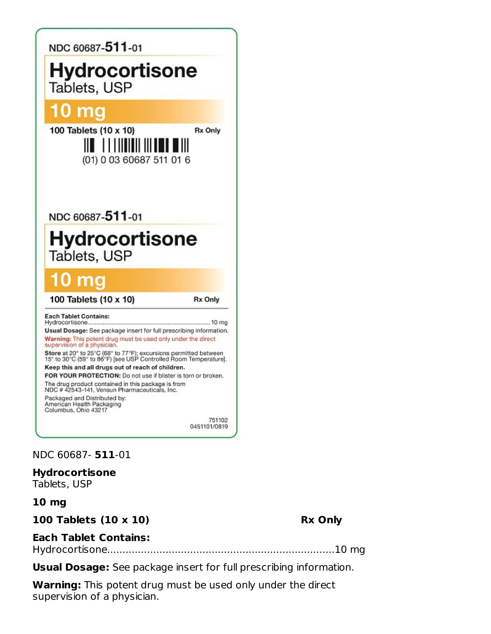| NDC 60687-511-01                                                                                                                                                                                                                                                                                                                                                                                                                                                                                                                                                                                                                                                              |                |
|-------------------------------------------------------------------------------------------------------------------------------------------------------------------------------------------------------------------------------------------------------------------------------------------------------------------------------------------------------------------------------------------------------------------------------------------------------------------------------------------------------------------------------------------------------------------------------------------------------------------------------------------------------------------------------|----------------|
| <b>Hydrocortisone</b><br>Tablets, USP                                                                                                                                                                                                                                                                                                                                                                                                                                                                                                                                                                                                                                         |                |
| 10 mg                                                                                                                                                                                                                                                                                                                                                                                                                                                                                                                                                                                                                                                                         |                |
| 100 Tablets (10 x 10)<br>III TTIIIIIIIIIII<br>(01) 0 03 60687 511 01 6                                                                                                                                                                                                                                                                                                                                                                                                                                                                                                                                                                                                        | <b>Rx Only</b> |
| NDC 60687-511-01                                                                                                                                                                                                                                                                                                                                                                                                                                                                                                                                                                                                                                                              |                |
| <b>Hydrocortisone</b>                                                                                                                                                                                                                                                                                                                                                                                                                                                                                                                                                                                                                                                         |                |
| Tablets, USP<br><u>10 mg</u>                                                                                                                                                                                                                                                                                                                                                                                                                                                                                                                                                                                                                                                  |                |
| 100 Tablets (10 x 10)                                                                                                                                                                                                                                                                                                                                                                                                                                                                                                                                                                                                                                                         | <b>Rx Only</b> |
|                                                                                                                                                                                                                                                                                                                                                                                                                                                                                                                                                                                                                                                                               |                |
|                                                                                                                                                                                                                                                                                                                                                                                                                                                                                                                                                                                                                                                                               | 10 mg          |
|                                                                                                                                                                                                                                                                                                                                                                                                                                                                                                                                                                                                                                                                               |                |
|                                                                                                                                                                                                                                                                                                                                                                                                                                                                                                                                                                                                                                                                               |                |
| <b>Each Tablet Contains:</b><br>Hydrocortisone<br>Usual Dosage: See package insert for full prescribing information.<br>Warning: This potent drug must be used only under the direct<br>supervision of a physician.<br>Store at 20° to 25°C (68° to 77°F); excursions permitted between<br>15° to 30°C (59° to 86°F) [see USP Controlled Room Temperature].<br>Keep this and all drugs out of reach of children.<br>FOR YOUR PROTECTION: Do not use if blister is torn or broken.<br>The drug product contained in this package is from<br>NDC # 42543-141, Vensun Pharmaceuticals, Inc.<br>Packaged and Distributed by:<br>American Health Packaging<br>Columbus, Ohio 43217 |                |

#### NDC 60687- **511**-01

**Hydrocortisone** Tablets, USP

#### **10 mg**

**100 Tablets (10 x 10) Rx Only**

#### **Each Tablet Contains:**

Hydrocortisone..........................................................................10 mg

**Usual Dosage:** See package insert for full prescribing information.

**Warning:** This potent drug must be used only under the direct supervision of a physician.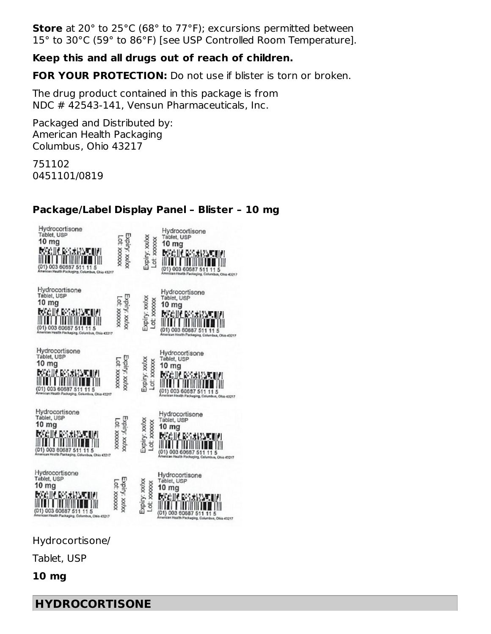**Store** at 20° to 25°C (68° to 77°F); excursions permitted between 15° to 30°C (59° to 86°F) [see USP Controlled Room Temperature].

#### **Keep this and all drugs out of reach of children.**

**FOR YOUR PROTECTION:** Do not use if blister is torn or broken.

The drug product contained in this package is from NDC # 42543-141, Vensun Pharmaceuticals, Inc.

Packaged and Distributed by: American Health Packaging Columbus, Ohio 43217

751102 0451101/0819

#### **Package/Label Display Panel – Blister – 10 mg**



## Hydrocortisone/

Tablet, USP

## **10 mg**

**HYDROCORTISONE**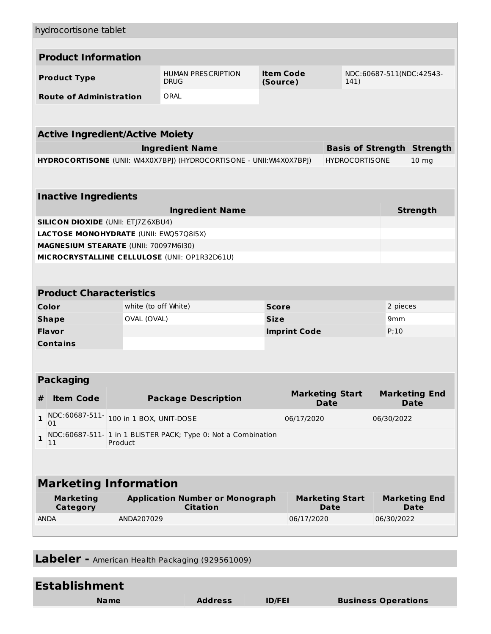| hydrocortisone tablet                     |                         |                                                                     |                              |                                       |                          |                                     |
|-------------------------------------------|-------------------------|---------------------------------------------------------------------|------------------------------|---------------------------------------|--------------------------|-------------------------------------|
|                                           |                         |                                                                     |                              |                                       |                          |                                     |
|                                           |                         |                                                                     |                              |                                       |                          |                                     |
| <b>Product Information</b>                |                         |                                                                     |                              |                                       |                          |                                     |
| <b>Product Type</b>                       |                         | <b>HUMAN PRESCRIPTION</b><br><b>DRUG</b>                            | <b>Item Code</b><br>(Source) | 141)                                  | NDC:60687-511(NDC:42543- |                                     |
| <b>Route of Administration</b>            |                         | ORAL                                                                |                              |                                       |                          |                                     |
|                                           |                         |                                                                     |                              |                                       |                          |                                     |
| <b>Active Ingredient/Active Moiety</b>    |                         |                                                                     |                              |                                       |                          |                                     |
|                                           |                         | <b>Ingredient Name</b>                                              |                              | <b>Basis of Strength Strength</b>     |                          |                                     |
|                                           |                         | HYDROCORTISONE (UNII: W4X0X7BPJ) (HYDROCORTISONE - UNII: W4X0X7BPJ) |                              | <b>HYDROCORTISONE</b>                 |                          | 10 mg                               |
|                                           |                         |                                                                     |                              |                                       |                          |                                     |
| <b>Inactive Ingredients</b>               |                         |                                                                     |                              |                                       |                          |                                     |
|                                           |                         | <b>Ingredient Name</b>                                              |                              |                                       |                          | <b>Strength</b>                     |
| <b>SILICON DIOXIDE (UNII: ETJ7Z6XBU4)</b> |                         |                                                                     |                              |                                       |                          |                                     |
| LACTOSE MONOHYDRATE (UNII: EWQ57Q8I5X)    |                         |                                                                     |                              |                                       |                          |                                     |
| MAGNESIUM STEARATE (UNII: 70097M6I30)     |                         |                                                                     |                              |                                       |                          |                                     |
|                                           |                         |                                                                     |                              |                                       |                          |                                     |
|                                           |                         | MICROCRYSTALLINE CELLULOSE (UNII: OP1R32D61U)                       |                              |                                       |                          |                                     |
|                                           |                         |                                                                     |                              |                                       |                          |                                     |
| <b>Product Characteristics</b>            |                         |                                                                     |                              |                                       |                          |                                     |
| Color                                     |                         | white (to off White)                                                | <b>Score</b>                 |                                       | 2 pieces                 |                                     |
| <b>Shape</b>                              | OVAL (OVAL)             |                                                                     | <b>Size</b>                  |                                       | 9 <sub>mm</sub>          |                                     |
| <b>Flavor</b>                             |                         |                                                                     | <b>Imprint Code</b>          |                                       | P;10                     |                                     |
| <b>Contains</b>                           |                         |                                                                     |                              |                                       |                          |                                     |
|                                           |                         |                                                                     |                              |                                       |                          |                                     |
|                                           |                         |                                                                     |                              |                                       |                          |                                     |
| <b>Packaging</b><br><b>Item Code</b><br># |                         | <b>Package Description</b>                                          |                              | <b>Marketing Start</b><br><b>Date</b> |                          | <b>Marketing End</b><br><b>Date</b> |
| NDC:60687-511-<br>1<br>01                 | 100 in 1 BOX, UNIT-DOSE |                                                                     | 06/17/2020                   |                                       | 06/30/2022               |                                     |
| $\mathbf{1}$<br>11                        | Product                 | NDC:60687-511- 1 in 1 BLISTER PACK; Type 0: Not a Combination       |                              |                                       |                          |                                     |
|                                           |                         |                                                                     |                              |                                       |                          |                                     |
|                                           |                         |                                                                     |                              |                                       |                          |                                     |
| <b>Marketing Information</b>              |                         |                                                                     |                              |                                       |                          |                                     |
| <b>Marketing</b><br><b>Category</b>       |                         | <b>Application Number or Monograph</b><br><b>Citation</b>           |                              | <b>Marketing Start</b><br><b>Date</b> |                          | <b>Marketing End</b><br><b>Date</b> |

**Labeler -** American Health Packaging (929561009)

| <b>Establishment</b> |                |               |                            |  |
|----------------------|----------------|---------------|----------------------------|--|
| <b>Name</b>          | <b>Address</b> | <b>ID/FEI</b> | <b>Business Operations</b> |  |